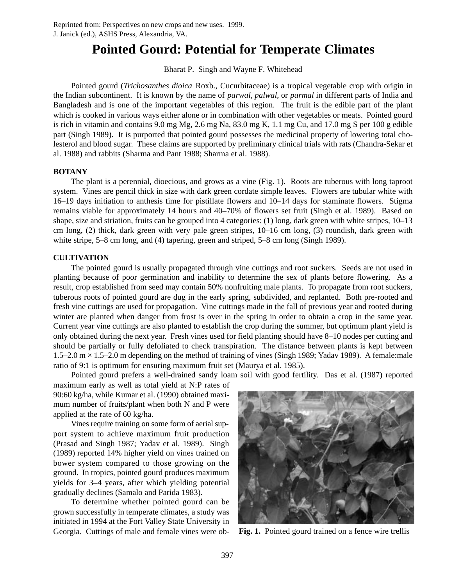# **Pointed Gourd: Potential for Temperate Climates**

Bharat P. Singh and Wayne F. Whitehead

Pointed gourd (*Trichosanthes dioica* Roxb., Cucurbitaceae) is a tropical vegetable crop with origin in the Indian subcontinent. It is known by the name of *parwal*, *palwal*, or *parmal* in different parts of India and Bangladesh and is one of the important vegetables of this region. The fruit is the edible part of the plant which is cooked in various ways either alone or in combination with other vegetables or meats. Pointed gourd is rich in vitamin and contains 9.0 mg Mg, 2.6 mg Na, 83.0 mg K, 1.1 mg Cu, and 17.0 mg S per 100 g edible part (Singh 1989). It is purported that pointed gourd possesses the medicinal property of lowering total cholesterol and blood sugar. These claims are supported by preliminary clinical trials with rats (Chandra-Sekar et al. 1988) and rabbits (Sharma and Pant 1988; Sharma et al. 1988).

## **BOTANY**

The plant is a perennial, dioecious, and grows as a vine (Fig. 1). Roots are tuberous with long taproot system. Vines are pencil thick in size with dark green cordate simple leaves. Flowers are tubular white with 16–19 days initiation to anthesis time for pistillate flowers and 10–14 days for staminate flowers. Stigma remains viable for approximately 14 hours and 40–70% of flowers set fruit (Singh et al. 1989). Based on shape, size and striation, fruits can be grouped into 4 categories: (1) long, dark green with white stripes, 10–13 cm long, (2) thick, dark green with very pale green stripes, 10–16 cm long, (3) roundish, dark green with white stripe, 5–8 cm long, and (4) tapering, green and striped, 5–8 cm long (Singh 1989).

## **CULTIVATION**

The pointed gourd is usually propagated through vine cuttings and root suckers. Seeds are not used in planting because of poor germination and inability to determine the sex of plants before flowering. As a result, crop established from seed may contain 50% nonfruiting male plants. To propagate from root suckers, tuberous roots of pointed gourd are dug in the early spring, subdivided, and replanted. Both pre-rooted and fresh vine cuttings are used for propagation. Vine cuttings made in the fall of previous year and rooted during winter are planted when danger from frost is over in the spring in order to obtain a crop in the same year. Current year vine cuttings are also planted to establish the crop during the summer, but optimum plant yield is only obtained during the next year. Fresh vines used for field planting should have 8–10 nodes per cutting and should be partially or fully defoliated to check transpiration. The distance between plants is kept between  $1.5-2.0$  m  $\times$  1.5–2.0 m depending on the method of training of vines (Singh 1989; Yadav 1989). A female:male ratio of 9:1 is optimum for ensuring maximum fruit set (Maurya et al. 1985).

Pointed gourd prefers a well-drained sandy loam soil with good fertility. Das et al. (1987) reported

maximum early as well as total yield at N:P rates of 90:60 kg/ha, while Kumar et al. (1990) obtained maximum number of fruits/plant when both N and P were applied at the rate of 60 kg/ha.

Vines require training on some form of aerial support system to achieve maximum fruit production (Prasad and Singh 1987; Yadav et al. 1989). Singh (1989) reported 14% higher yield on vines trained on bower system compared to those growing on the ground. In tropics, pointed gourd produces maximum yields for 3–4 years, after which yielding potential gradually declines (Samalo and Parida 1983).

To determine whether pointed gourd can be grown successfully in temperate climates, a study was initiated in 1994 at the Fort Valley State University in Georgia. Cuttings of male and female vines were ob- **Fig. 1.** Pointed gourd trained on a fence wire trellis

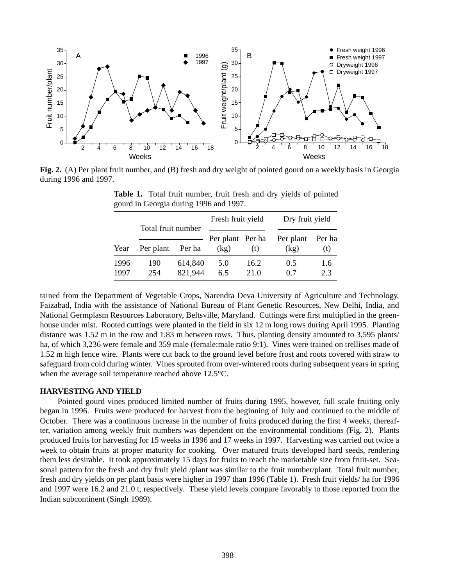

**Fig. 2.** (A) Per plant fruit number, and (B) fresh and dry weight of pointed gourd on a weekly basis in Georgia during 1996 and 1997.

|              | Total fruit number |                    | Fresh fruit yield |                         | Dry fruit yield   |               |
|--------------|--------------------|--------------------|-------------------|-------------------------|-------------------|---------------|
| Year         | Per plant          | Per ha             |                   | Per plant Per ha<br>(t) | Per plant<br>(kg) | Per ha<br>(t) |
| 1996<br>1997 | 190<br>254         | 614,840<br>821,944 | 5.0<br>6.5        | 16.2<br>21.0            | 0.5<br>0.7        | 1.6<br>2.3    |

**Table 1.** Total fruit number, fruit fresh and dry yields of pointed gourd in Georgia during 1996 and 1997.

tained from the Department of Vegetable Crops, Narendra Deva University of Agriculture and Technology, Faizabad, India with the assistance of National Bureau of Plant Genetic Resources, New Delhi, India, and National Germplasm Resources Laboratory, Beltsville, Maryland. Cuttings were first multiplied in the greenhouse under mist. Rooted cuttings were planted in the field in six 12 m long rows during April 1995. Planting distance was 1.52 m in the row and 1.83 m between rows. Thus, planting density amounted to 3,595 plants/ ha, of which 3,236 were female and 359 male (female:male ratio 9:1). Vines were trained on trellises made of 1.52 m high fence wire. Plants were cut back to the ground level before frost and roots covered with straw to safeguard from cold during winter. Vines sprouted from over-wintered roots during subsequent years in spring when the average soil temperature reached above 12.5°C.

### **HARVESTING AND YIELD**

Pointed gourd vines produced limited number of fruits during 1995, however, full scale fruiting only began in 1996. Fruits were produced for harvest from the beginning of July and continued to the middle of October. There was a continuous increase in the number of fruits produced during the first 4 weeks, thereafter, variation among weekly fruit numbers was dependent on the environmental conditions (Fig. 2). Plants produced fruits for harvesting for 15 weeks in 1996 and 17 weeks in 1997. Harvesting was carried out twice a week to obtain fruits at proper maturity for cooking. Over matured fruits developed hard seeds, rendering them less desirable. It took approximately 15 days for fruits to reach the marketable size from fruit-set. Seasonal pattern for the fresh and dry fruit yield /plant was similar to the fruit number/plant. Total fruit number, fresh and dry yields on per plant basis were higher in 1997 than 1996 (Table 1). Fresh fruit yields/ ha for 1996 and 1997 were 16.2 and 21.0 t, respectively. These yield levels compare favorably to those reported from the Indian subcontinent (Singh 1989).